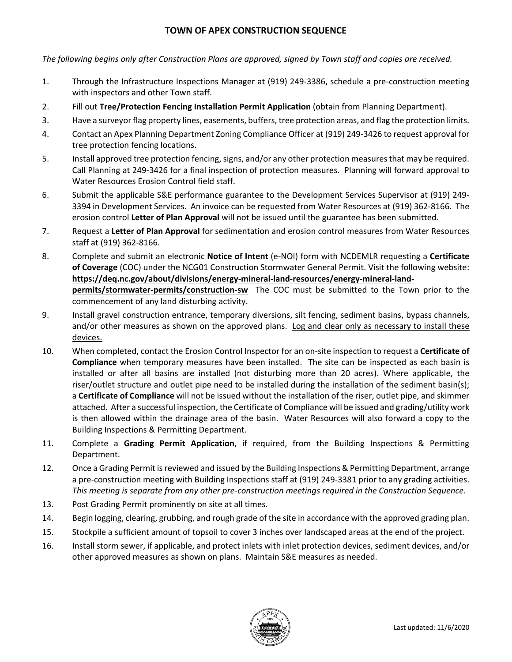## **TOWN OF APEX CONSTRUCTION SEQUENCE**

*The following begins only after Construction Plans are approved, signed by Town staff and copies are received.* 

- 1. Through the Infrastructure Inspections Manager at (919) 249-3386, schedule a pre-construction meeting with inspectors and other Town staff.
- 2. Fill out **Tree/Protection Fencing Installation Permit Application** (obtain from Planning Department).
- 3. Have a surveyor flag property lines, easements, buffers, tree protection areas, and flag the protection limits.
- 4. Contact an Apex Planning Department Zoning Compliance Officer at (919) 249-3426 to request approval for tree protection fencing locations.
- 5. Install approved tree protection fencing, signs, and/or any other protection measures that may be required. Call Planning at 249-3426 for a final inspection of protection measures. Planning will forward approval to Water Resources Erosion Control field staff.
- 6. Submit the applicable S&E performance guarantee to the Development Services Supervisor at (919) 249- 3394 in Development Services. An invoice can be requested from Water Resources at (919) 362-8166. The erosion control **Letter of Plan Approval** will not be issued until the guarantee has been submitted.
- 7. Request a **Letter of Plan Approval** for sedimentation and erosion control measures from Water Resources staff at (919) 362-8166.
- 8. Complete and submit an electronic **Notice of Intent** (e-NOI) form with NCDEMLR requesting a **Certificate of Coverage** (COC) under the NCG01 Construction Stormwater General Permit. Visit the following website: **https://deq.nc.gov/about/divisions/energy-mineral-land-resources/energy-mineral-landpermits/stormwater-permits/construction-sw** The COC must be submitted to the Town prior to the commencement of any land disturbing activity.
- 9. Install gravel construction entrance, temporary diversions, silt fencing, sediment basins, bypass channels, and/or other measures as shown on the approved plans. Log and clear only as necessary to install these devices.
- 10. When completed, contact the Erosion Control Inspector for an on-site inspection to request a **Certificate of Compliance** when temporary measures have been installed. The site can be inspected as each basin is installed or after all basins are installed (not disturbing more than 20 acres). Where applicable, the riser/outlet structure and outlet pipe need to be installed during the installation of the sediment basin(s); a **Certificate of Compliance** will not be issued without the installation of the riser, outlet pipe, and skimmer attached. After a successful inspection, the Certificate of Compliance will be issued and grading/utility work is then allowed within the drainage area of the basin. Water Resources will also forward a copy to the Building Inspections & Permitting Department.
- 11. Complete a **Grading Permit Application**, if required, from the Building Inspections & Permitting Department.
- 12. Once a Grading Permit is reviewed and issued by the Building Inspections & Permitting Department, arrange a pre-construction meeting with Building Inspections staff at (919) 249-3381 prior to any grading activities. *This meeting is separate from any other pre-construction meetings required in the Construction Sequence*.
- 13. Post Grading Permit prominently on site at all times.
- 14. Begin logging, clearing, grubbing, and rough grade of the site in accordance with the approved grading plan.
- 15. Stockpile a sufficient amount of topsoil to cover 3 inches over landscaped areas at the end of the project.
- 16. Install storm sewer, if applicable, and protect inlets with inlet protection devices, sediment devices, and/or other approved measures as shown on plans. Maintain S&E measures as needed.